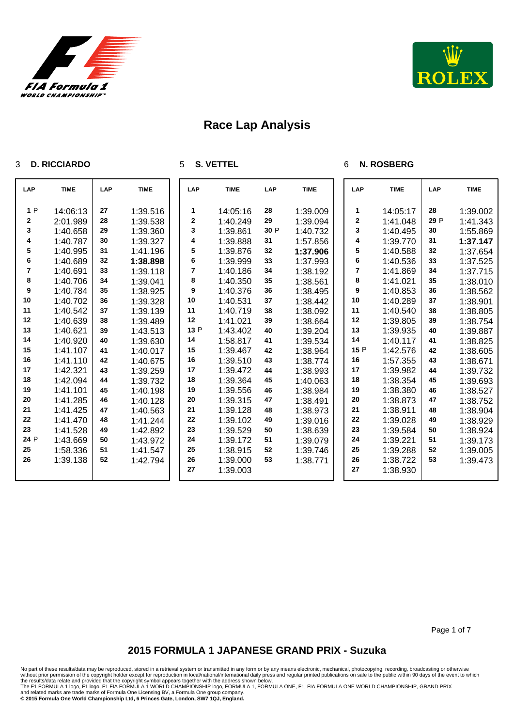



#### **D. RICCIARDO**

**S. VETTEL**

#### **N. ROSBERG**

| <b>LAP</b> | <b>TIME</b> | LAP | <b>TIME</b> | LAP         | <b>TIME</b> | LAP  | <b>TIME</b> | LAP  | <b>TIME</b> | LAP  | <b>TIME</b> |
|------------|-------------|-----|-------------|-------------|-------------|------|-------------|------|-------------|------|-------------|
| 1P         | 14:06:13    | 27  | 1:39.516    | 1           | 14:05:16    | 28   | 1:39.009    | 1.   | 14:05:17    | 28   | 1:39.002    |
| 2          | 2:01.989    | 28  | 1:39.538    | $\mathbf 2$ | 1:40.249    | 29   | 1:39.094    | 2    | 1:41.048    | 29 P | 1:41.343    |
| 3          | 1:40.658    | 29  | 1:39.360    | 3           | 1:39.861    | 30 P | 1:40.732    | 3    | 1:40.495    | 30   | 1:55.869    |
| 4          | 1:40.787    | 30  | 1:39.327    | 4           | 1:39.888    | 31   | 1:57.856    | 4    | 1:39.770    | 31   | 1:37.147    |
| 5          | 1:40.995    | 31  | 1:41.196    | 5           | 1:39.876    | 32   | 1:37.906    | 5    | 1:40.588    | 32   | 1:37.654    |
| 6          | 1:40.689    | 32  | 1:38.898    | 6           | 1:39.999    | 33   | 1:37.993    | 6    | 1:40.536    | 33   | 1:37.525    |
| 7          | 1:40.691    | 33  | 1:39.118    | 7           | 1:40.186    | 34   | 1:38.192    | 7    | 1:41.869    | 34   | 1:37.715    |
| 8          | 1:40.706    | 34  | 1:39.041    | 8           | 1:40.350    | 35   | 1:38.561    | 8    | 1:41.021    | 35   | 1:38.010    |
| 9          | 1:40.784    | 35  | 1:38.925    | 9           | 1:40.376    | 36   | 1:38.495    | 9    | 1:40.853    | 36   | 1:38.562    |
| 10         | 1:40.702    | 36  | 1:39.328    | 10          | 1:40.531    | 37   | 1:38.442    | 10   | 1:40.289    | 37   | 1:38.901    |
| 11         | 1:40.542    | 37  | 1:39.139    | 11          | 1:40.719    | 38   | 1:38.092    | 11   | 1:40.540    | 38   | 1:38.805    |
| 12         | 1:40.639    | 38  | 1:39.489    | 12          | 1:41.021    | 39   | 1:38.664    | 12   | 1:39.805    | 39   | 1:38.754    |
| 13         | 1:40.621    | 39  | 1:43.513    | 13 P        | 1:43.402    | 40   | 1:39.204    | 13   | 1:39.935    | 40   | 1:39.887    |
| 14         | 1:40.920    | 40  | 1:39.630    | 14          | 1:58.817    | 41   | 1:39.534    | 14   | 1:40.117    | 41   | 1:38.825    |
| 15         | 1:41.107    | 41  | 1:40.017    | 15          | 1:39.467    | 42   | 1:38.964    | 15 P | 1:42.576    | 42   | 1:38.605    |
| 16         | 1:41.110    | 42  | 1:40.675    | 16          | 1:39.510    | 43   | 1:38.774    | 16   | 1:57.355    | 43   | 1:38.671    |
| 17         | 1:42.321    | 43  | 1:39.259    | 17          | 1:39.472    | 44   | 1:38.993    | 17   | 1:39.982    | 44   | 1:39.732    |
| 18         | 1:42.094    | 44  | 1:39.732    | 18          | 1:39.364    | 45   | 1:40.063    | 18   | 1:38.354    | 45   | 1:39.693    |
| 19         | 1:41.101    | 45  | 1:40.198    | 19          | 1:39.556    | 46   | 1:38.984    | 19   | 1:38.380    | 46   | 1:38.527    |
| 20         | 1:41.285    | 46  | 1:40.128    | 20          | 1:39.315    | 47   | 1:38.491    | 20   | 1:38.873    | 47   | 1:38.752    |
| 21         | 1:41.425    | 47  | 1:40.563    | 21          | 1:39.128    | 48   | 1:38.973    | 21   | 1:38.911    | 48   | 1:38.904    |
| 22         | 1:41.470    | 48  | 1:41.244    | 22          | 1:39.102    | 49   | 1:39.016    | 22   | 1:39.028    | 49   | 1:38.929    |
| 23         | 1:41.528    | 49  | 1:42.892    | 23          | 1:39.529    | 50   | 1:38.639    | 23   | 1:39.584    | 50   | 1:38.924    |
| 24 P       | 1:43.669    | 50  | 1:43.972    | 24          | 1:39.172    | 51   | 1:39.079    | 24   | 1:39.221    | 51   | 1:39.173    |
| 25         | 1:58.336    | 51  | 1:41.547    | 25          | 1:38.915    | 52   | 1:39.746    | 25   | 1:39.288    | 52   | 1:39.005    |
| 26         | 1:39.138    | 52  | 1:42.794    | 26          | 1:39.000    | 53   | 1:38.771    | 26   | 1:38.722    | 53   | 1:39.473    |
|            |             |     |             | 27          | 1:39.003    |      |             | 27   | 1:38.930    |      |             |

Page 1 of 7

## **2015 FORMULA 1 JAPANESE GRAND PRIX - Suzuka**

No part of these results/data may be reproduced, stored in a retrieval system or transmitted in any form or by any means electronic, mechanical, photocopying, recording, broadcasting or otherwise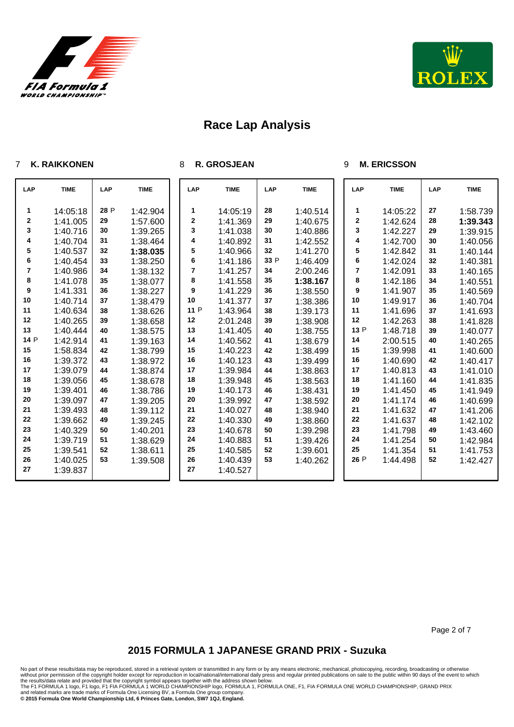



### **K. RAIKKONEN**

#### **R. GROSJEAN**

#### **M. ERICSSON**

| <b>LAP</b> | <b>TIME</b> | LAP  | <b>TIME</b> | LAP         | <b>TIME</b> | LAP  | <b>TIME</b> | LAP  | <b>TIME</b> | <b>LAP</b> | <b>TIME</b> |
|------------|-------------|------|-------------|-------------|-------------|------|-------------|------|-------------|------------|-------------|
| 1          | 14:05:18    | 28 P | 1:42.904    | 1           | 14:05:19    | 28   | 1:40.514    | 1    | 14:05:22    | 27         | 1:58.739    |
| $\bf{2}$   | 1:41.005    | 29   | 1:57.600    | $\mathbf 2$ | 1:41.369    | 29   | 1:40.675    | 2    | 1:42.624    | 28         | 1:39.343    |
| 3          | 1:40.716    | 30   | 1:39.265    | 3           | 1:41.038    | 30   | 1:40.886    | 3    | 1:42.227    | 29         | 1:39.915    |
| 4          | 1:40.704    | 31   | 1:38.464    | 4           | 1:40.892    | 31   | 1:42.552    | 4    | 1:42.700    | 30         | 1:40.056    |
| 5          | 1:40.537    | 32   | 1:38.035    | 5           | 1:40.966    | 32   | 1:41.270    | 5    | 1:42.842    | 31         | 1:40.144    |
| 6          | 1:40.454    | 33   | 1:38.250    | 6           | 1:41.186    | 33 P | 1:46.409    | 6    | 1:42.024    | 32         | 1:40.381    |
| 7          | 1:40.986    | 34   | 1:38.132    | 7           | 1:41.257    | 34   | 2:00.246    | 7    | 1:42.091    | 33         | 1:40.165    |
| 8          | 1:41.078    | 35   | 1:38.077    | 8           | 1:41.558    | 35   | 1:38.167    | 8    | 1:42.186    | 34         | 1:40.551    |
| 9          | 1:41.331    | 36   | 1:38.227    | 9           | 1:41.229    | 36   | 1:38.550    | 9    | 1:41.907    | 35         | 1:40.569    |
| 10         | 1:40.714    | 37   | 1:38.479    | 10          | 1:41.377    | 37   | 1:38.386    | 10   | 1:49.917    | 36         | 1:40.704    |
| 11         | 1:40.634    | 38   | 1:38.626    | 11 P        | 1:43.964    | 38   | 1:39.173    | 11   | 1:41.696    | 37         | 1:41.693    |
| 12         | 1:40.265    | 39   | 1:38.658    | 12          | 2:01.248    | 39   | 1:38.908    | 12   | 1:42.263    | 38         | 1:41.828    |
| 13         | 1:40.444    | 40   | 1:38.575    | 13          | 1:41.405    | 40   | 1:38.755    | 13 P | 1:48.718    | 39         | 1:40.077    |
| 14 P       | 1:42.914    | 41   | 1:39.163    | 14          | 1:40.562    | 41   | 1:38.679    | 14   | 2:00.515    | 40         | 1:40.265    |
| 15         | 1:58.834    | 42   | 1:38.799    | 15          | 1:40.223    | 42   | 1:38.499    | 15   | 1:39.998    | 41         | 1:40.600    |
| 16         | 1:39.372    | 43   | 1:38.972    | 16          | 1:40.123    | 43   | 1:39.499    | 16   | 1:40.690    | 42         | 1:40.417    |
| 17         | 1:39.079    | 44   | 1:38.874    | 17          | 1:39.984    | 44   | 1:38.863    | 17   | 1:40.813    | 43         | 1:41.010    |
| 18         | 1:39.056    | 45   | 1:38.678    | 18          | 1:39.948    | 45   | 1:38.563    | 18   | 1:41.160    | 44         | 1:41.835    |
| 19         | 1:39.401    | 46   | 1:38.786    | 19          | 1:40.173    | 46   | 1:38.431    | 19   | 1:41.450    | 45         | 1:41.949    |
| 20         | 1:39.097    | 47   | 1:39.205    | 20          | 1:39.992    | 47   | 1:38.592    | 20   | 1:41.174    | 46         | 1:40.699    |
| 21         | 1:39.493    | 48   | 1:39.112    | 21          | 1:40.027    | 48   | 1:38.940    | 21   | 1:41.632    | 47         | 1:41.206    |
| 22         | 1:39.662    | 49   | 1:39.245    | 22          | 1:40.330    | 49   | 1:38.860    | 22   | 1:41.637    | 48         | 1:42.102    |
| 23         | 1:40.329    | 50   | 1:40.201    | 23          | 1:40.678    | 50   | 1:39.298    | 23   | 1:41.798    | 49         | 1:43.460    |
| 24         | 1:39.719    | 51   | 1:38.629    | 24          | 1:40.883    | 51   | 1:39.426    | 24   | 1:41.254    | 50         | 1:42.984    |
| 25         | 1:39.541    | 52   | 1:38.611    | 25          | 1:40.585    | 52   | 1:39.601    | 25   | 1:41.354    | 51         | 1:41.753    |
| 26         | 1:40.025    | 53   | 1:39.508    | 26          | 1:40.439    | 53   | 1:40.262    | 26 P | 1:44.498    | 52         | 1:42.427    |
| 27         | 1:39.837    |      |             | 27          | 1:40.527    |      |             |      |             |            |             |
|            |             |      |             |             |             |      |             |      |             |            |             |

Page 2 of 7

## **2015 FORMULA 1 JAPANESE GRAND PRIX - Suzuka**

No part of these results/data may be reproduced, stored in a retrieval system or transmitted in any form or by any means electronic, mechanical, photocopying, recording, broadcasting or otherwise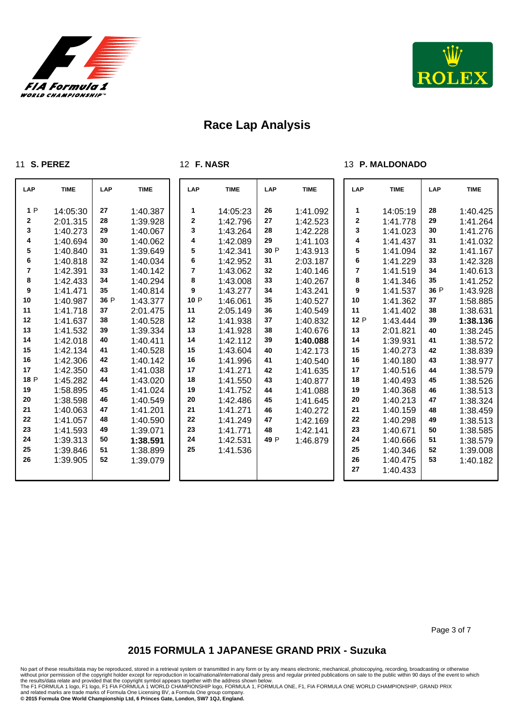



#### **S. PEREZ**

**F. NASR**

### **P. MALDONADO**

| LAP  | <b>TIME</b> | LAP  | <b>TIME</b> | LAP         | <b>TIME</b> | LAP  | <b>TIME</b> | LAP  | <b>TIME</b> | LAP  | <b>TIME</b> |
|------|-------------|------|-------------|-------------|-------------|------|-------------|------|-------------|------|-------------|
| 1P   | 14:05:30    | 27   | 1:40.387    | 1           | 14:05:23    | 26   | 1:41.092    | 1    | 14:05:19    | 28   | 1:40.425    |
| 2    | 2:01.315    | 28   | 1:39.928    | $\mathbf 2$ | 1:42.796    | 27   | 1:42.523    | 2    | 1:41.778    | 29   | 1:41.264    |
| 3    | 1:40.273    | 29   | 1:40.067    | 3           | 1:43.264    | 28   | 1:42.228    | 3    | 1:41.023    | 30   | 1:41.276    |
| 4    | 1:40.694    | 30   | 1:40.062    | 4           | 1:42.089    | 29   | 1:41.103    | 4    | 1:41.437    | 31   | 1:41.032    |
| 5    | 1:40.840    | 31   | 1:39.649    | 5           | 1:42.341    | 30 P | 1:43.913    | 5    | 1:41.094    | 32   | 1:41.167    |
| 6    | 1:40.818    | 32   | 1:40.034    | 6           | 1:42.952    | 31   | 2:03.187    | 6    | 1:41.229    | 33   | 1:42.328    |
| 7    | 1:42.391    | 33   | 1:40.142    | 7           | 1:43.062    | 32   | 1:40.146    | 7    | 1:41.519    | 34   | 1:40.613    |
| 8    | 1:42.433    | 34   | 1:40.294    | 8           | 1:43.008    | 33   | 1:40.267    | 8    | 1:41.346    | 35   | 1:41.252    |
| 9    | 1:41.471    | 35   | 1:40.814    | 9           | 1:43.277    | 34   | 1:43.241    | 9    | 1:41.537    | 36 P | 1:43.928    |
| 10   | 1:40.987    | 36 P | 1:43.377    | 10 P        | 1:46.061    | 35   | 1:40.527    | 10   | 1:41.362    | 37   | 1:58.885    |
| 11   | 1:41.718    | 37   | 2:01.475    | 11          | 2:05.149    | 36   | 1:40.549    | 11   | 1:41.402    | 38   | 1:38.631    |
| 12   | 1:41.637    | 38   | 1:40.528    | 12          | 1:41.938    | 37   | 1:40.832    | 12 P | 1:43.444    | 39   | 1:38.136    |
| 13   | 1:41.532    | 39   | 1:39.334    | 13          | 1:41.928    | 38   | 1:40.676    | 13   | 2:01.821    | 40   | 1:38.245    |
| 14   | 1:42.018    | 40   | 1:40.411    | 14          | 1:42.112    | 39   | 1:40.088    | 14   | 1:39.931    | 41   | 1:38.572    |
| 15   | 1:42.134    | 41   | 1:40.528    | 15          | 1:43.604    | 40   | 1:42.173    | 15   | 1:40.273    | 42   | 1:38.839    |
| 16   | 1:42.306    | 42   | 1:40.142    | 16          | 1:41.996    | 41   | 1:40.540    | 16   | 1:40.180    | 43   | 1:38.977    |
| 17   | 1:42.350    | 43   | 1:41.038    | 17          | 1:41.271    | 42   | 1:41.635    | 17   | 1:40.516    | 44   | 1:38.579    |
| 18 P | 1:45.282    | 44   | 1:43.020    | 18          | 1:41.550    | 43   | 1:40.877    | 18   | 1:40.493    | 45   | 1:38.526    |
| 19   | 1:58.895    | 45   | 1:41.024    | 19          | 1:41.752    | 44   | 1:41.088    | 19   | 1:40.368    | 46   | 1:38.513    |
| 20   | 1:38.598    | 46   | 1:40.549    | 20          | 1:42.486    | 45   | 1:41.645    | 20   | 1:40.213    | 47   | 1:38.324    |
| 21   | 1:40.063    | 47   | 1:41.201    | 21          | 1:41.271    | 46   | 1:40.272    | 21   | 1:40.159    | 48   | 1:38.459    |
| 22   | 1:41.057    | 48   | 1:40.590    | 22          | 1:41.249    | 47   | 1:42.169    | 22   | 1:40.298    | 49   | 1:38.513    |
| 23   | 1:41.593    | 49   | 1:39.071    | 23          | 1:41.771    | 48   | 1:42.141    | 23   | 1:40.671    | 50   | 1:38.585    |
| 24   | 1:39.313    | 50   | 1:38.591    | 24          | 1:42.531    | 49 P | 1:46.879    | 24   | 1:40.666    | 51   | 1:38.579    |
| 25   | 1:39.846    | 51   | 1:38.899    | 25          | 1:41.536    |      |             | 25   | 1:40.346    | 52   | 1:39.008    |
| 26   | 1:39.905    | 52   | 1:39.079    |             |             |      |             | 26   | 1:40.475    | 53   | 1:40.182    |
|      |             |      |             |             |             |      |             | 27   | 1:40.433    |      |             |

Page 3 of 7

## **2015 FORMULA 1 JAPANESE GRAND PRIX - Suzuka**

No part of these results/data may be reproduced, stored in a retrieval system or transmitted in any form or by any means electronic, mechanical, photocopying, recording, broadcasting or otherwise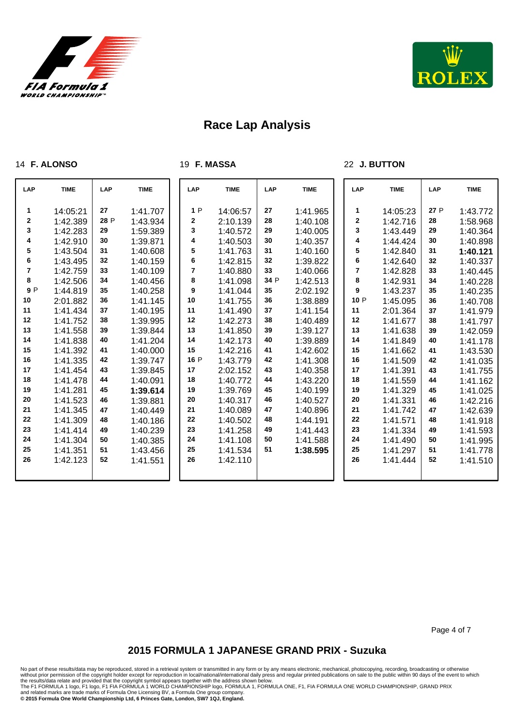



#### **F. ALONSO**

**F. MASSA**

#### **J. BUTTON**

| LAP | <b>TIME</b> | <b>LAP</b> | <b>TIME</b> | <b>LAP</b>   | <b>TIME</b> | LAP  | <b>TIME</b> | LAP         | <b>TIME</b> | LAP  | <b>TIME</b> |
|-----|-------------|------------|-------------|--------------|-------------|------|-------------|-------------|-------------|------|-------------|
| 1   | 14:05:21    | 27         | 1:41.707    | 1P           | 14:06:57    | 27   | 1:41.965    | 1           | 14:05:23    | 27 P | 1:43.772    |
| 2   | 1:42.389    | 28 P       | 1:43.934    | $\mathbf{2}$ | 2:10.139    | 28   | 1:40.108    | $\mathbf 2$ | 1:42.716    | 28   | 1:58.968    |
| 3   | 1:42.283    | 29         | 1:59.389    | 3            | 1:40.572    | 29   | 1:40.005    | 3           | 1:43.449    | 29   | 1:40.364    |
| 4   | 1:42.910    | 30         | 1:39.871    | 4            | 1:40.503    | 30   | 1:40.357    | 4           | 1:44.424    | 30   | 1:40.898    |
| 5   | 1:43.504    | 31         | 1:40.608    | 5            | 1:41.763    | 31   | 1:40.160    | 5           | 1:42.840    | 31   | 1:40.121    |
| 6   | 1:43.495    | 32         | 1:40.159    | 6            | 1:42.815    | 32   | 1:39.822    | 6           | 1:42.640    | 32   | 1:40.337    |
| 7   | 1:42.759    | 33         | 1:40.109    | 7            | 1:40.880    | 33   | 1:40.066    | 7           | 1:42.828    | 33   | 1:40.445    |
| 8   | 1:42.506    | 34         | 1:40.456    | 8            | 1:41.098    | 34 P | 1:42.513    | 8           | 1:42.931    | 34   | 1:40.228    |
| 9P  | 1:44.819    | 35         | 1:40.258    | 9            | 1:41.044    | 35   | 2:02.192    | 9           | 1:43.237    | 35   | 1:40.235    |
| 10  | 2:01.882    | 36         | 1:41.145    | 10           | 1:41.755    | 36   | 1:38.889    | 10 P        | 1:45.095    | 36   | 1:40.708    |
| 11  | 1:41.434    | 37         | 1:40.195    | 11           | 1:41.490    | 37   | 1:41.154    | 11          | 2:01.364    | 37   | 1:41.979    |
| 12  | 1:41.752    | 38         | 1:39.995    | 12           | 1:42.273    | 38   | 1:40.489    | 12          | 1:41.677    | 38   | 1:41.797    |
| 13  | 1:41.558    | 39         | 1:39.844    | 13           | 1:41.850    | 39   | 1:39.127    | 13          | 1:41.638    | 39   | 1:42.059    |
| 14  | 1:41.838    | 40         | 1:41.204    | 14           | 1:42.173    | 40   | 1:39.889    | 14          | 1:41.849    | 40   | 1:41.178    |
| 15  | 1:41.392    | 41         | 1:40.000    | 15           | 1:42.216    | 41   | 1:42.602    | 15          | 1:41.662    | 41   | 1:43.530    |
| 16  | 1:41.335    | 42         | 1:39.747    | 16 P         | 1:43.779    | 42   | 1:41.308    | 16          | 1:41.509    | 42   | 1:41.035    |
| 17  | 1:41.454    | 43         | 1:39.845    | 17           | 2:02.152    | 43   | 1:40.358    | 17          | 1:41.391    | 43   | 1:41.755    |
| 18  | 1:41.478    | 44         | 1:40.091    | 18           | 1:40.772    | 44   | 1:43.220    | 18          | 1:41.559    | 44   | 1:41.162    |
| 19  | 1:41.281    | 45         | 1:39.614    | 19           | 1:39.769    | 45   | 1:40.199    | 19          | 1:41.329    | 45   | 1:41.025    |
| 20  | 1:41.523    | 46         | 1:39.881    | 20           | 1:40.317    | 46   | 1:40.527    | 20          | 1:41.331    | 46   | 1:42.216    |
| 21  | 1:41.345    | 47         | 1:40.449    | 21           | 1:40.089    | 47   | 1:40.896    | 21          | 1:41.742    | 47   | 1:42.639    |
| 22  | 1:41.309    | 48         | 1:40.186    | 22           | 1:40.502    | 48   | 1:44.191    | 22          | 1:41.571    | 48   | 1:41.918    |
| 23  | 1:41.414    | 49         | 1:40.239    | 23           | 1:41.258    | 49   | 1:41.443    | 23          | 1:41.334    | 49   | 1:41.593    |
| 24  | 1:41.304    | 50         | 1:40.385    | 24           | 1:41.108    | 50   | 1:41.588    | 24          | 1:41.490    | 50   | 1:41.995    |
| 25  | 1:41.351    | 51         | 1:43.456    | 25           | 1:41.534    | 51   | 1:38.595    | 25          | 1:41.297    | 51   | 1:41.778    |
| 26  | 1:42.123    | 52         | 1:41.551    | 26           | 1:42.110    |      |             | 26          | 1:41.444    | 52   | 1:41.510    |
|     |             |            |             |              |             |      |             |             |             |      |             |

Page 4 of 7

## **2015 FORMULA 1 JAPANESE GRAND PRIX - Suzuka**

No part of these results/data may be reproduced, stored in a retrieval system or transmitted in any form or by any means electronic, mechanical, photocopying, recording, broadcasting or otherwise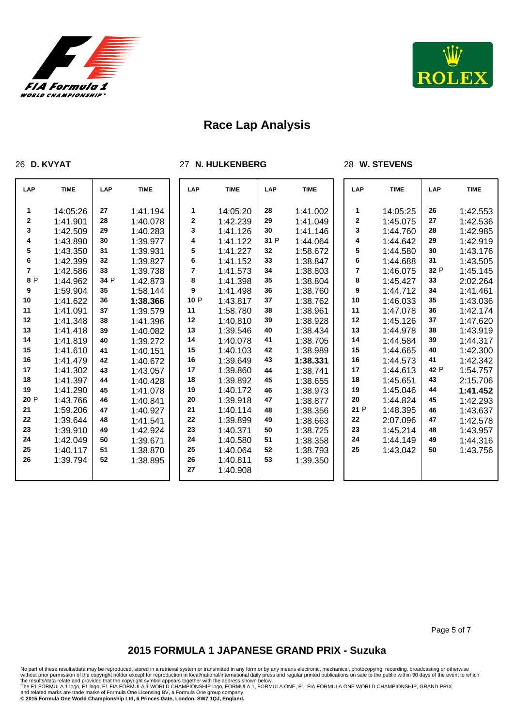

**D. KVYAT**



# **Race Lap Analysis**

**N. HULKENBERG**

### **W. STEVENS**

| LAP    | <b>TIME</b>          | LAP      | <b>TIME</b>          | LAP    | <b>TIME</b>          | <b>LAP</b> | <b>TIME</b>          | <b>LAP</b>       | <b>TIME</b>          | LAP      | <b>TIME</b>          |
|--------|----------------------|----------|----------------------|--------|----------------------|------------|----------------------|------------------|----------------------|----------|----------------------|
| 1<br>2 | 14:05:26<br>1:41.901 | 27<br>28 | 1:41.194<br>1:40.078 | 1<br>2 | 14:05:20<br>1:42.239 | 28<br>29   | 1:41.002<br>1:41.049 | 1<br>$\mathbf 2$ | 14:05:25<br>1:45.075 | 26<br>27 | 1:42.553<br>1:42.536 |
| 3      | 1:42.509             | 29       | 1:40.283             | 3      | 1:41.126             | 30         | 1:41.146             | 3                | 1:44.760             | 28       | 1:42.985             |
| 4      | 1:43.890             | 30       | 1:39.977             | 4      | 1:41.122             | 31 P       | 1:44.064             | 4                | 1:44.642             | 29       | 1:42.919             |
| 5      | 1:43.350             | 31       | 1:39.931             | 5      | 1:41.227             | 32         | 1:58.672             | 5                | 1:44.580             | 30       | 1:43.176             |
| 6      | 1:42.399             | 32       | 1:39.827             | 6      | 1:41.152             | 33         | 1:38.847             | 6                | 1:44.688             | 31       | 1:43.505             |
| 7      | 1:42.586             | 33       | 1:39.738             | 7      | 1:41.573             | 34         | 1:38.803             | 7                | 1:46.075             | 32 P     | 1:45.145             |
| 8 P    | 1:44.962             | 34 P     | 1:42.873             | 8      | 1:41.398             | 35         | 1:38.804             | 8                | 1:45.427             | 33       | 2:02.264             |
| 9      | 1:59.904             | 35       | 1:58.144             | 9      | 1:41.498             | 36         | 1:38.760             | 9                | 1:44.712             | 34       | 1:41.461             |
| 10     | 1:41.622             | 36       | 1:38.366             | 10 P   | 1:43.817             | 37         | 1:38.762             | 10               | 1:46.033             | 35       | 1:43.036             |
| 11     | 1:41.091             | 37       | 1:39.579             | 11     | 1:58.780             | 38         | 1:38.961             | 11               | 1:47.078             | 36       | 1:42.174             |
| 12     | 1:41.348             | 38       | 1:41.396             | 12     | 1:40.810             | 39         | 1:38.928             | 12               | 1:45.126             | 37       | 1:47.620             |
| 13     | 1:41.418             | 39       | 1:40.082             | 13     | 1:39.546             | 40         | 1:38.434             | 13               | 1:44.978             | 38       | 1:43.919             |
| 14     | 1:41.819             | 40       | 1:39.272             | 14     | 1:40.078             | 41         | 1:38.705             | 14               | 1:44.584             | 39       | 1:44.317             |
| 15     | 1:41.610             | 41       | 1:40.151             | 15     | 1:40.103             | 42         | 1:38.989             | 15               | 1:44.665             | 40       | 1:42.300             |
| $16\,$ | 1:41.479             | 42       | 1:40.672             | 16     | 1:39.649             | 43         | 1:38.331             | 16               | 1:44.573             | 41       | 1:42.342             |
| 17     | 1:41.302             | 43       | 1:43.057             | 17     | 1:39.860             | 44         | 1:38.741             | 17               | 1:44.613             | 42 P     | 1:54.757             |
| 18     | 1:41.397             | 44       | 1:40.428             | 18     | 1:39.892             | 45         | 1:38.655             | 18               | 1:45.651             | 43       | 2:15.706             |
| 19     | 1:41.290             | 45       | 1:41.078             | 19     | 1:40.172             | 46         | 1:38.973             | 19               | 1:45.046             | 44       | 1:41.452             |
| 20 P   | 1:43.766             | 46       | 1:40.841             | 20     | 1:39.918             | 47         | 1:38.877             | 20               | 1:44.824             | 45       | 1:42.293             |
| 21     | 1:59.206             | 47       | 1:40.927             | 21     | 1:40.114             | 48         | 1:38.356             | 21 P             | 1:48.395             | 46       | 1:43.637             |
| 22     | 1:39.644             | 48       | 1:41.541             | 22     | 1:39.899             | 49         | 1:38.663             | 22               | 2:07.096             | 47       | 1:42.578             |
| 23     | 1:39.910             | 49       | 1:42.924             | 23     | 1:40.371             | 50         | 1:38.725             | 23               | 1:45.214             | 48       | 1:43.957             |
| 24     | 1:42.049             | 50       | 1:39.671             | 24     | 1:40.580             | 51         | 1:38.358             | 24               | 1:44.149             | 49       | 1:44.316             |
| 25     | 1:40.117             | 51       | 1:38.870             | 25     | 1:40.064             | 52         | 1:38.793             | 25               | 1:43.042             | 50       | 1:43.756             |
| 26     | 1:39.794             | 52       | 1:38.895             | 26     | 1:40.811             | 53         | 1:39.350             |                  |                      |          |                      |
|        |                      |          |                      | 27     | 1:40.908             |            |                      |                  |                      |          |                      |

Page 5 of 7

## **2015 FORMULA 1 JAPANESE GRAND PRIX - Suzuka**

No part of these results/data may be reproduced, stored in a retrieval system or transmitted in any form or by any means electronic, mechanical, photocopying, recording, broadcasting or otherwise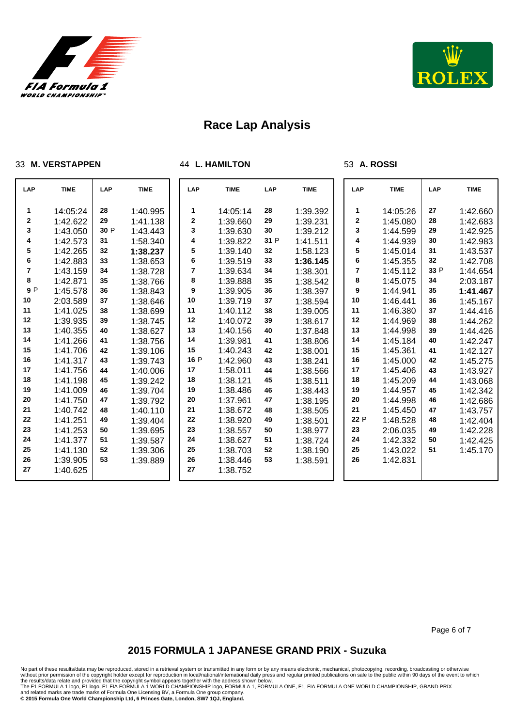



#### **M. VERSTAPPEN**

**L. HAMILTON**

#### **A. ROSSI**

| LAP         | <b>TIME</b> | LAP  | <b>TIME</b> | LAP         | <b>TIME</b> | LAP  | <b>TIME</b> | LAP  | <b>TIME</b> | LAP  | <b>TIME</b> |
|-------------|-------------|------|-------------|-------------|-------------|------|-------------|------|-------------|------|-------------|
| 1           | 14:05:24    | 28   | 1:40.995    | 1           | 14:05:14    | 28   | 1:39.392    | 1    | 14:05:26    | 27   | 1:42.660    |
| $\mathbf 2$ | 1:42.622    | 29   | 1:41.138    | $\mathbf 2$ | 1:39.660    | 29   | 1:39.231    | 2    | 1:45.080    | 28   | 1:42.683    |
| 3           | 1:43.050    | 30 P | 1:43.443    | 3           | 1:39.630    | 30   | 1:39.212    | 3    | 1:44.599    | 29   | 1:42.925    |
| 4           | 1:42.573    | 31   | 1:58.340    | 4           | 1:39.822    | 31 P | 1:41.511    | 4    | 1:44.939    | 30   | 1:42.983    |
| 5           | 1:42.265    | 32   | 1:38.237    | 5           | 1:39.140    | 32   | 1:58.123    | 5    | 1:45.014    | 31   | 1:43.537    |
| 6           | 1:42.883    | 33   | 1:38.653    | 6           | 1:39.519    | 33   | 1:36.145    | 6    | 1:45.355    | 32   | 1:42.708    |
| 7           | 1:43.159    | 34   | 1:38.728    | 7           | 1:39.634    | 34   | 1:38.301    | 7    | 1:45.112    | 33 P | 1:44.654    |
| 8           | 1:42.871    | 35   | 1:38.766    | 8           | 1:39.888    | 35   | 1:38.542    | 8    | 1:45.075    | 34   | 2:03.187    |
| 9 P         | 1:45.578    | 36   | 1:38.843    | 9           | 1:39.905    | 36   | 1:38.397    | 9    | 1:44.941    | 35   | 1:41.467    |
| 10          | 2:03.589    | 37   | 1:38.646    | 10          | 1:39.719    | 37   | 1:38.594    | 10   | 1:46.441    | 36   | 1:45.167    |
| 11          | 1:41.025    | 38   | 1:38.699    | 11          | 1:40.112    | 38   | 1:39.005    | 11   | 1:46.380    | 37   | 1:44.416    |
| 12          | 1:39.935    | 39   | 1:38.745    | 12          | 1:40.072    | 39   | 1:38.617    | 12   | 1:44.969    | 38   | 1:44.262    |
| 13          | 1:40.355    | 40   | 1:38.627    | 13          | 1:40.156    | 40   | 1:37.848    | 13   | 1:44.998    | 39   | 1:44.426    |
| 14          | 1:41.266    | 41   | 1:38.756    | 14          | 1:39.981    | 41   | 1:38.806    | 14   | 1:45.184    | 40   | 1:42.247    |
| 15          | 1:41.706    | 42   | 1:39.106    | 15          | 1:40.243    | 42   | 1:38.001    | 15   | 1:45.361    | 41   | 1:42.127    |
| 16          | 1:41.317    | 43   | 1:39.743    | 16 P        | 1:42.960    | 43   | 1:38.241    | 16   | 1:45.000    | 42   | 1:45.275    |
| 17          | 1:41.756    | 44   | 1:40.006    | 17          | 1:58.011    | 44   | 1:38.566    | 17   | 1:45.406    | 43   | 1:43.927    |
| 18          | 1:41.198    | 45   | 1:39.242    | 18          | 1:38.121    | 45   | 1:38.511    | 18   | 1:45.209    | 44   | 1:43.068    |
| 19          | 1:41.009    | 46   | 1:39.704    | 19          | 1:38.486    | 46   | 1:38.443    | 19   | 1:44.957    | 45   | 1:42.342    |
| 20          | 1:41.750    | 47   | 1:39.792    | 20          | 1:37.961    | 47   | 1:38.195    | 20   | 1:44.998    | 46   | 1:42.686    |
| 21          | 1:40.742    | 48   | 1:40.110    | 21          | 1:38.672    | 48   | 1:38.505    | 21   | 1:45.450    | 47   | 1:43.757    |
| 22          | 1:41.251    | 49   | 1:39.404    | 22          | 1:38.920    | 49   | 1:38.501    | 22 P | 1:48.528    | 48   | 1:42.404    |
| 23          | 1:41.253    | 50   | 1:39.695    | 23          | 1:38.557    | 50   | 1:38.977    | 23   | 2:06.035    | 49   | 1:42.228    |
| 24          | 1:41.377    | 51   | 1:39.587    | 24          | 1:38.627    | 51   | 1:38.724    | 24   | 1:42.332    | 50   | 1:42.425    |
| 25          | 1:41.130    | 52   | 1:39.306    | 25          | 1:38.703    | 52   | 1:38.190    | 25   | 1:43.022    | 51   | 1:45.170    |
| 26          | 1:39.905    | 53   | 1:39.889    | 26          | 1:38.446    | 53   | 1:38.591    | 26   | 1:42.831    |      |             |
| 27          | 1:40.625    |      |             | 27          | 1:38.752    |      |             |      |             |      |             |
|             |             |      |             |             |             |      |             |      |             |      |             |

Page 6 of 7

## **2015 FORMULA 1 JAPANESE GRAND PRIX - Suzuka**

No part of these results/data may be reproduced, stored in a retrieval system or transmitted in any form or by any means electronic, mechanical, photocopying, recording, broadcasting or otherwise